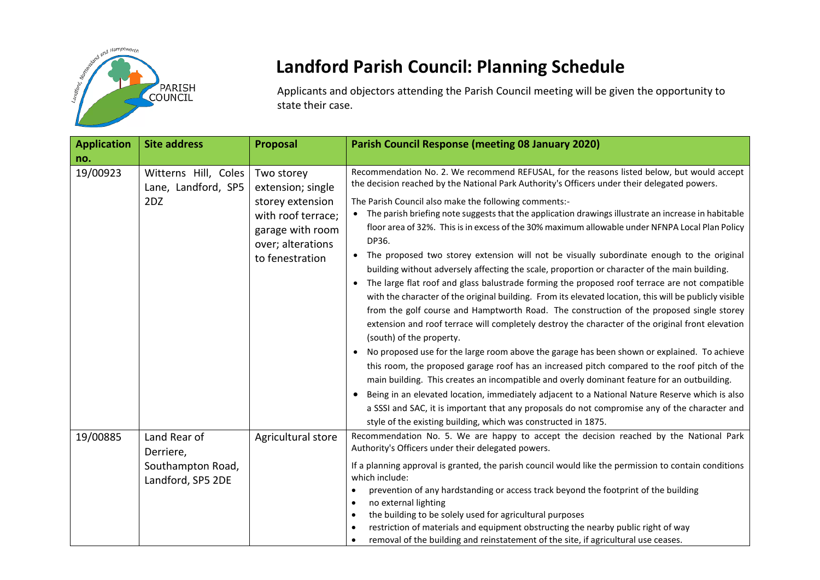

## **Landford Parish Council: Planning Schedule**

Applicants and objectors attending the Parish Council meeting will be given the opportunity to state their case.

| <b>Application</b> | <b>Site address</b>                                                 | <b>Proposal</b>                                                                                                                       | <b>Parish Council Response (meeting 08 January 2020)</b>                                                                                                                                                                                                                                                                                                                                                                                                                                                                                                                                                                                                                                                                                                                                                                                                                                                                                                                                                                                                                                                                                                                                                                                                                                                                                                                                                                                                                                                                                                                                                                                                                                                   |
|--------------------|---------------------------------------------------------------------|---------------------------------------------------------------------------------------------------------------------------------------|------------------------------------------------------------------------------------------------------------------------------------------------------------------------------------------------------------------------------------------------------------------------------------------------------------------------------------------------------------------------------------------------------------------------------------------------------------------------------------------------------------------------------------------------------------------------------------------------------------------------------------------------------------------------------------------------------------------------------------------------------------------------------------------------------------------------------------------------------------------------------------------------------------------------------------------------------------------------------------------------------------------------------------------------------------------------------------------------------------------------------------------------------------------------------------------------------------------------------------------------------------------------------------------------------------------------------------------------------------------------------------------------------------------------------------------------------------------------------------------------------------------------------------------------------------------------------------------------------------------------------------------------------------------------------------------------------------|
| no.                |                                                                     |                                                                                                                                       |                                                                                                                                                                                                                                                                                                                                                                                                                                                                                                                                                                                                                                                                                                                                                                                                                                                                                                                                                                                                                                                                                                                                                                                                                                                                                                                                                                                                                                                                                                                                                                                                                                                                                                            |
| 19/00923           | Witterns Hill, Coles<br>Lane, Landford, SP5<br>2DZ                  | Two storey<br>extension; single<br>storey extension<br>with roof terrace;<br>garage with room<br>over; alterations<br>to fenestration | Recommendation No. 2. We recommend REFUSAL, for the reasons listed below, but would accept<br>the decision reached by the National Park Authority's Officers under their delegated powers.<br>The Parish Council also make the following comments:-<br>• The parish briefing note suggests that the application drawings illustrate an increase in habitable<br>floor area of 32%. This is in excess of the 30% maximum allowable under NFNPA Local Plan Policy<br>DP36.<br>The proposed two storey extension will not be visually subordinate enough to the original<br>building without adversely affecting the scale, proportion or character of the main building.<br>The large flat roof and glass balustrade forming the proposed roof terrace are not compatible<br>$\bullet$<br>with the character of the original building. From its elevated location, this will be publicly visible<br>from the golf course and Hamptworth Road. The construction of the proposed single storey<br>extension and roof terrace will completely destroy the character of the original front elevation<br>(south) of the property.<br>No proposed use for the large room above the garage has been shown or explained. To achieve<br>$\bullet$<br>this room, the proposed garage roof has an increased pitch compared to the roof pitch of the<br>main building. This creates an incompatible and overly dominant feature for an outbuilding.<br>Being in an elevated location, immediately adjacent to a National Nature Reserve which is also<br>a SSSI and SAC, it is important that any proposals do not compromise any of the character and<br>style of the existing building, which was constructed in 1875. |
| 19/00885           | Land Rear of<br>Derriere,<br>Southampton Road,<br>Landford, SP5 2DE | Agricultural store                                                                                                                    | Recommendation No. 5. We are happy to accept the decision reached by the National Park<br>Authority's Officers under their delegated powers.<br>If a planning approval is granted, the parish council would like the permission to contain conditions<br>which include:<br>prevention of any hardstanding or access track beyond the footprint of the building<br>no external lighting<br>the building to be solely used for agricultural purposes<br>restriction of materials and equipment obstructing the nearby public right of way<br>removal of the building and reinstatement of the site, if agricultural use ceases.                                                                                                                                                                                                                                                                                                                                                                                                                                                                                                                                                                                                                                                                                                                                                                                                                                                                                                                                                                                                                                                                              |